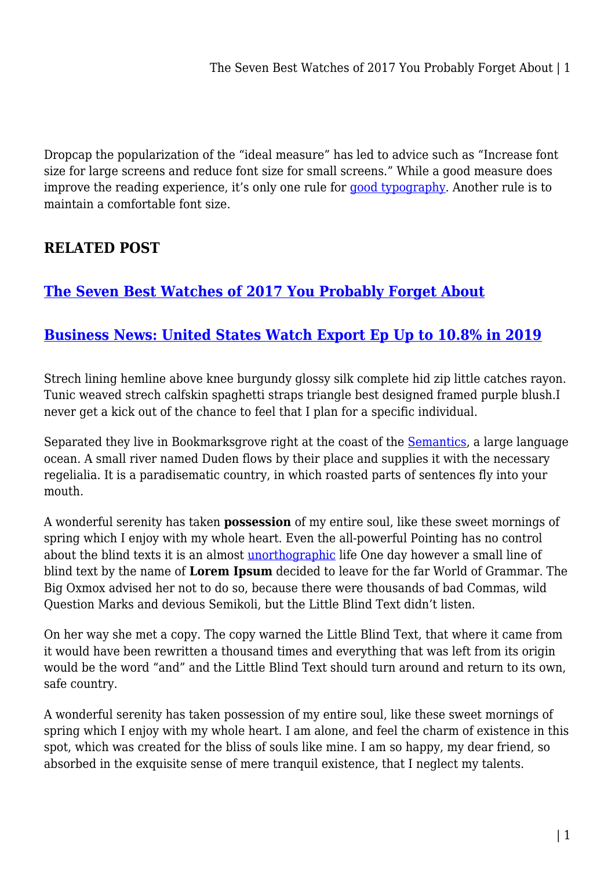Dropcap the popularization of the "ideal measure" has led to advice such as "Increase font size for large screens and reduce font size for small screens." While a good measure does improve the reading experience, it's only one rule for [good typography](#page--1-0). Another rule is to maintain a comfortable font size.

## **RELATED POST**

## **[The Seven Best Watches of 2017 You Probably Forget About](https://inetgiant.com.au/the-seven-best-watches-of-2017-you-problaby-forget-about/)**

## **[Business News: United States Watch Export Ep Up to 10.8% in 2019](https://inetgiant.com.au/a-closer-look-at-hublot-black-caviar-big-bang-the-newest-tudor-watch/)**

Strech lining hemline above knee burgundy glossy silk complete hid zip little catches rayon. Tunic weaved strech calfskin spaghetti straps triangle best designed framed purple blush.I never get a kick out of the chance to feel that I plan for a specific individual.

Separated they live in Bookmarksgrove right at the coast of the **Semantics**, a large language ocean. A small river named Duden flows by their place and supplies it with the necessary regelialia. It is a paradisematic country, in which roasted parts of sentences fly into your mouth.

A wonderful serenity has taken **possession** of my entire soul, like these sweet mornings of spring which I enjoy with my whole heart. Even the all-powerful Pointing has no control about the blind texts it is an almost [unorthographic](#page--1-0) life One day however a small line of blind text by the name of **Lorem Ipsum** decided to leave for the far World of Grammar. The Big Oxmox advised her not to do so, because there were thousands of bad Commas, wild Question Marks and devious Semikoli, but the Little Blind Text didn't listen.

On her way she met a copy. The copy warned the Little Blind Text, that where it came from it would have been rewritten a thousand times and everything that was left from its origin would be the word "and" and the Little Blind Text should turn around and return to its own, safe country.

A wonderful serenity has taken possession of my entire soul, like these sweet mornings of spring which I enjoy with my whole heart. I am alone, and feel the charm of existence in this spot, which was created for the bliss of souls like mine. I am so happy, my dear friend, so absorbed in the exquisite sense of mere tranquil existence, that I neglect my talents.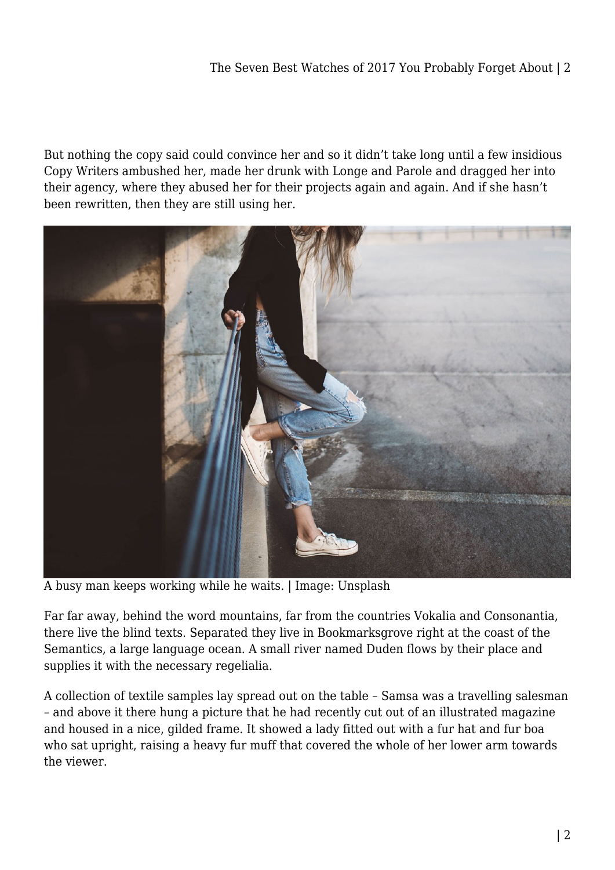But nothing the copy said could convince her and so it didn't take long until a few insidious Copy Writers ambushed her, made her drunk with Longe and Parole and dragged her into their agency, where they abused her for their projects again and again. And if she hasn't been rewritten, then they are still using her.



A busy man keeps working while he waits. | Image: Unsplash

Far far away, behind the word mountains, far from the countries Vokalia and Consonantia, there live the blind texts. Separated they live in Bookmarksgrove right at the coast of the Semantics, a large language ocean. A small river named Duden flows by their place and supplies it with the necessary regelialia.

A collection of textile samples lay spread out on the table – Samsa was a travelling salesman – and above it there hung a picture that he had recently cut out of an illustrated magazine and housed in a nice, gilded frame. It showed a lady fitted out with a fur hat and fur boa who sat upright, raising a heavy fur muff that covered the whole of her lower arm towards the viewer.